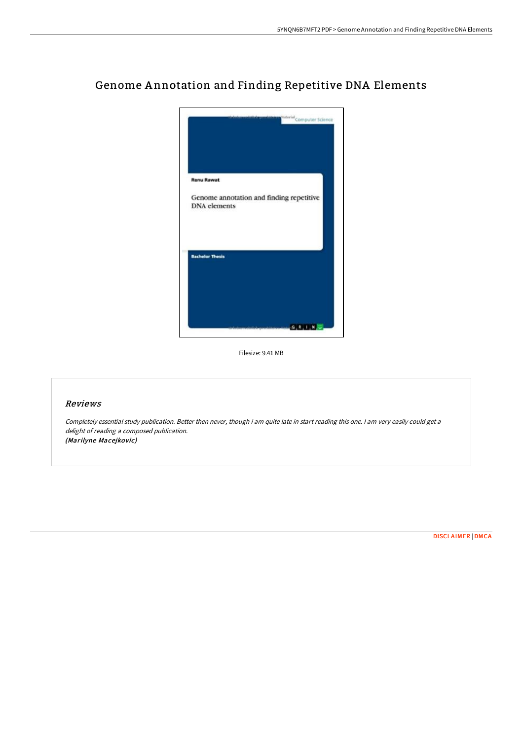

# Genome A nnotation and Finding Repetitive DNA Elements

Filesize: 9.41 MB

## Reviews

Completely essential study publication. Better then never, though i am quite late in start reading this one. I am very easily could get <sup>a</sup> delight of reading <sup>a</sup> composed publication. (Marilyne Macejkovic)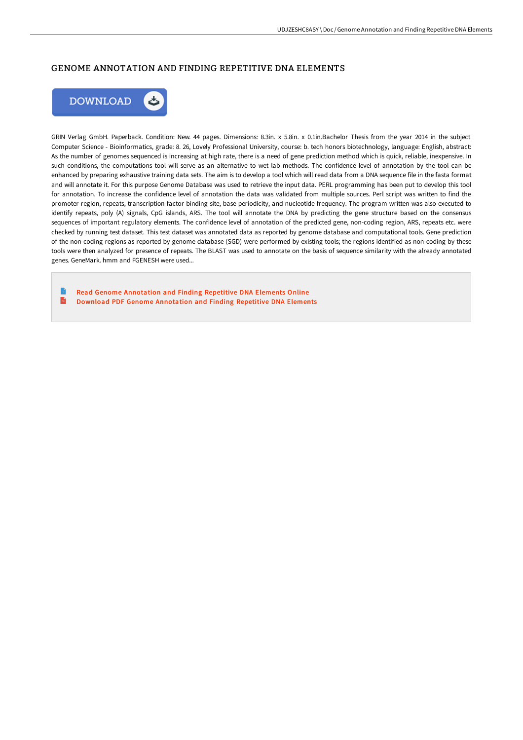## GENOME ANNOTATION AND FINDING REPETITIVE DNA ELEMENTS



GRIN Verlag GmbH. Paperback. Condition: New. 44 pages. Dimensions: 8.3in. x 5.8in. x 0.1in.Bachelor Thesis from the year 2014 in the subject Computer Science - Bioinformatics, grade: 8. 26, Lovely Professional University, course: b. tech honors biotechnology, language: English, abstract: As the number of genomes sequenced is increasing at high rate, there is a need of gene prediction method which is quick, reliable, inexpensive. In such conditions, the computations tool will serve as an alternative to wet lab methods. The confidence level of annotation by the tool can be enhanced by preparing exhaustive training data sets. The aim is to develop a tool which will read data from a DNA sequence file in the fasta format and will annotate it. For this purpose Genome Database was used to retrieve the input data. PERL programming has been put to develop this tool for annotation. To increase the confidence level of annotation the data was validated from multiple sources. Perl script was written to find the promoter region, repeats, transcription factor binding site, base periodicity, and nucleotide frequency. The program written was also executed to identify repeats, poly (A) signals, CpG islands, ARS. The tool will annotate the DNA by predicting the gene structure based on the consensus sequences of important regulatory elements. The confidence level of annotation of the predicted gene, non-coding region, ARS, repeats etc. were checked by running test dataset. This test dataset was annotated data as reported by genome database and computational tools. Gene prediction of the non-coding regions as reported by genome database (SGD) were performed by existing tools; the regions identified as non-coding by these tools were then analyzed for presence of repeats. The BLAST was used to annotate on the basis of sequence similarity with the already annotated genes. GeneMark. hmm and FGENESH were used...

Read Genome [Annotation](http://albedo.media/genome-annotation-and-finding-repetitive-dna-ele.html) and Finding Repetitive DNA Elements Online  $\mathbf{H}$ Download PDF Genome [Annotation](http://albedo.media/genome-annotation-and-finding-repetitive-dna-ele.html) and Finding Repetitive DNA Elements